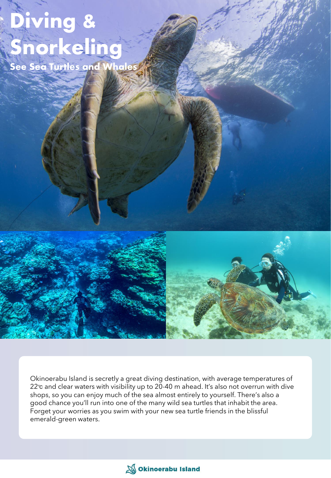## Diving & Snorkeling

See Sea Turtles and Whales

Okinoerabu Island is secretly a great diving destination, with average temperatures of 22<sup>°</sup> c and clear waters with visibility up to 20-40 m ahead. It's also not overrun with dive shops, so you can enjoy much of the sea almost entirely to yourself. There's also a good chance you'll run into one of the many wild sea turtles that inhabit the area. Forget your worries as you swim with your new sea turtle friends in the blissful emerald-green waters.